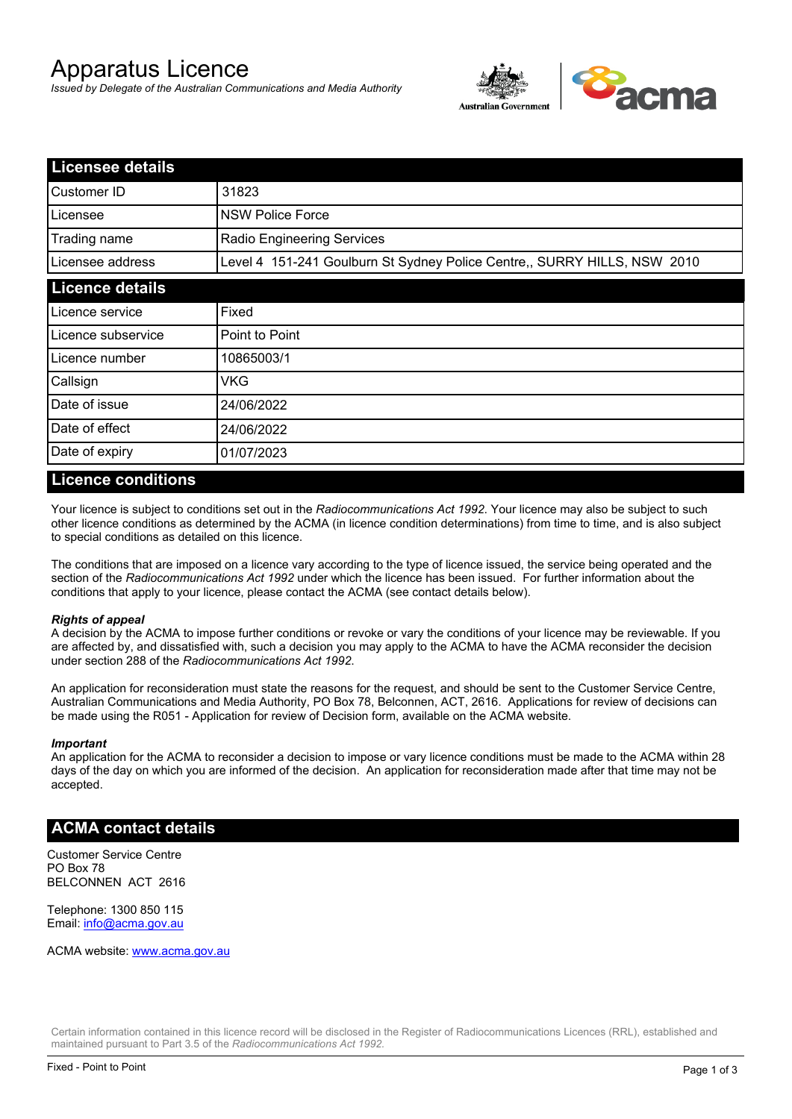# Apparatus Licence

*Issued by Delegate of the Australian Communications and Media Authority*



| <b>Licensee details</b> |                                                                          |  |
|-------------------------|--------------------------------------------------------------------------|--|
| Customer ID             | 31823                                                                    |  |
| Licensee                | <b>NSW Police Force</b>                                                  |  |
| Trading name            | <b>Radio Engineering Services</b>                                        |  |
| Licensee address        | Level 4 151-241 Goulburn St Sydney Police Centre,, SURRY HILLS, NSW 2010 |  |
| <b>Licence details</b>  |                                                                          |  |
| Licence service         | Fixed                                                                    |  |
| Licence subservice      | Point to Point                                                           |  |
| Licence number          | 10865003/1                                                               |  |
| Callsign                | VKG                                                                      |  |
| Date of issue           | 24/06/2022                                                               |  |
| Date of effect          | 24/06/2022                                                               |  |
| Date of expiry          | 01/07/2023                                                               |  |

#### **Licence conditions**

Your licence is subject to conditions set out in the *Radiocommunications Act 1992*. Your licence may also be subject to such other licence conditions as determined by the ACMA (in licence condition determinations) from time to time, and is also subject to special conditions as detailed on this licence.

The conditions that are imposed on a licence vary according to the type of licence issued, the service being operated and the section of the *Radiocommunications Act 1992* under which the licence has been issued. For further information about the conditions that apply to your licence, please contact the ACMA (see contact details below).

#### *Rights of appeal*

A decision by the ACMA to impose further conditions or revoke or vary the conditions of your licence may be reviewable. If you are affected by, and dissatisfied with, such a decision you may apply to the ACMA to have the ACMA reconsider the decision under section 288 of the *Radiocommunications Act 1992*.

An application for reconsideration must state the reasons for the request, and should be sent to the Customer Service Centre, Australian Communications and Media Authority, PO Box 78, Belconnen, ACT, 2616. Applications for review of decisions can be made using the R051 - Application for review of Decision form, available on the ACMA website.

#### *Important*

An application for the ACMA to reconsider a decision to impose or vary licence conditions must be made to the ACMA within 28 days of the day on which you are informed of the decision. An application for reconsideration made after that time may not be accepted.

#### **ACMA contact details**

Customer Service Centre PO Box 78 BELCONNEN ACT 2616

Telephone: 1300 850 115 Email: info@acma.gov.au

ACMA website: www.acma.gov.au

Certain information contained in this licence record will be disclosed in the Register of Radiocommunications Licences (RRL), established and maintained pursuant to Part 3.5 of the *Radiocommunications Act 1992.*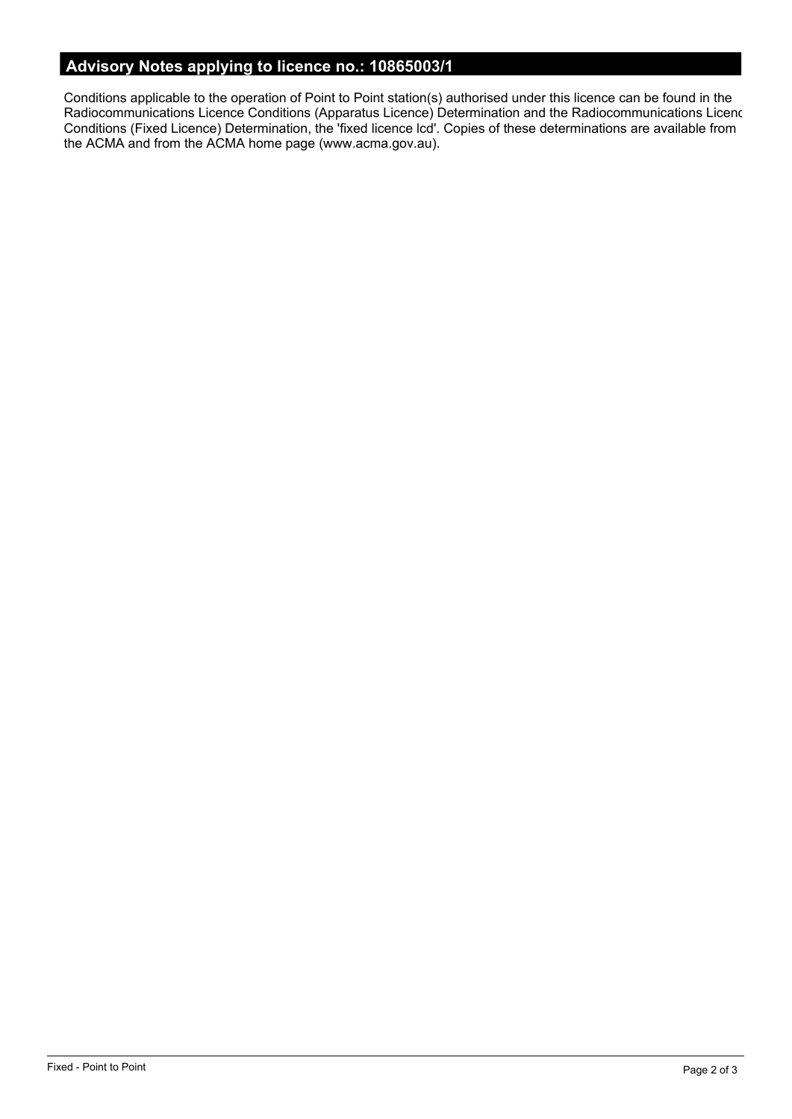# **Advisory Notes applying to licence no.: 10865003/1**

Conditions applicable to the operation of Point to Point station(s) authorised under this licence can be found in the Radiocommunications Licence Conditions (Apparatus Licence) Determination and the Radiocommunications Licence Conditions (Fixed Licence) Determination, the 'fixed licence lcd'. Copies of these determinations are available from the ACMA and from the ACMA home page (www.acma.gov.au).